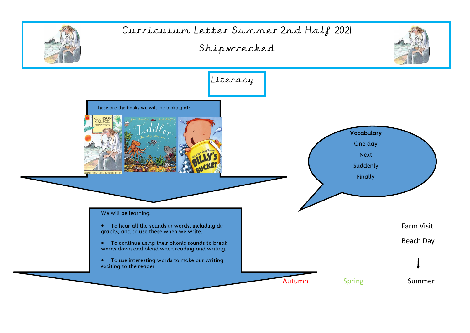